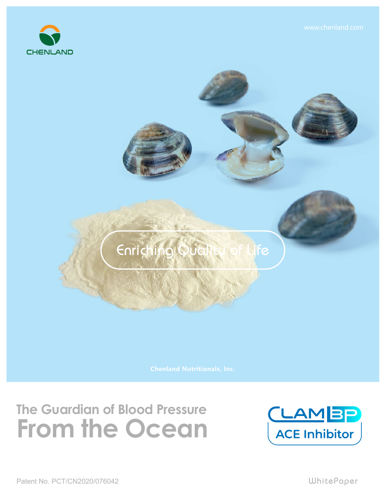

## Enriching Quali FG,

## **The Guardian of Blood Pressure From the Ocean**

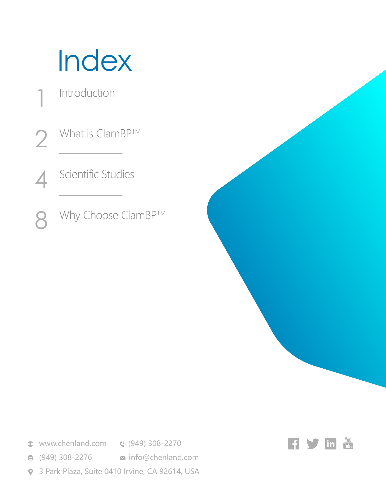## Index

Introduction

1

What is ClamBP™ 2

Scientific Studies 4

Why Choose ClamBP™ 8

**<sup>●</sup>** www.chenland.com **©** (949) 308-2270

**■ (949) 308-2276 info@chenland.com** 

3 Park Plaza, Suite 0410 Irvine, CA 92614, USA